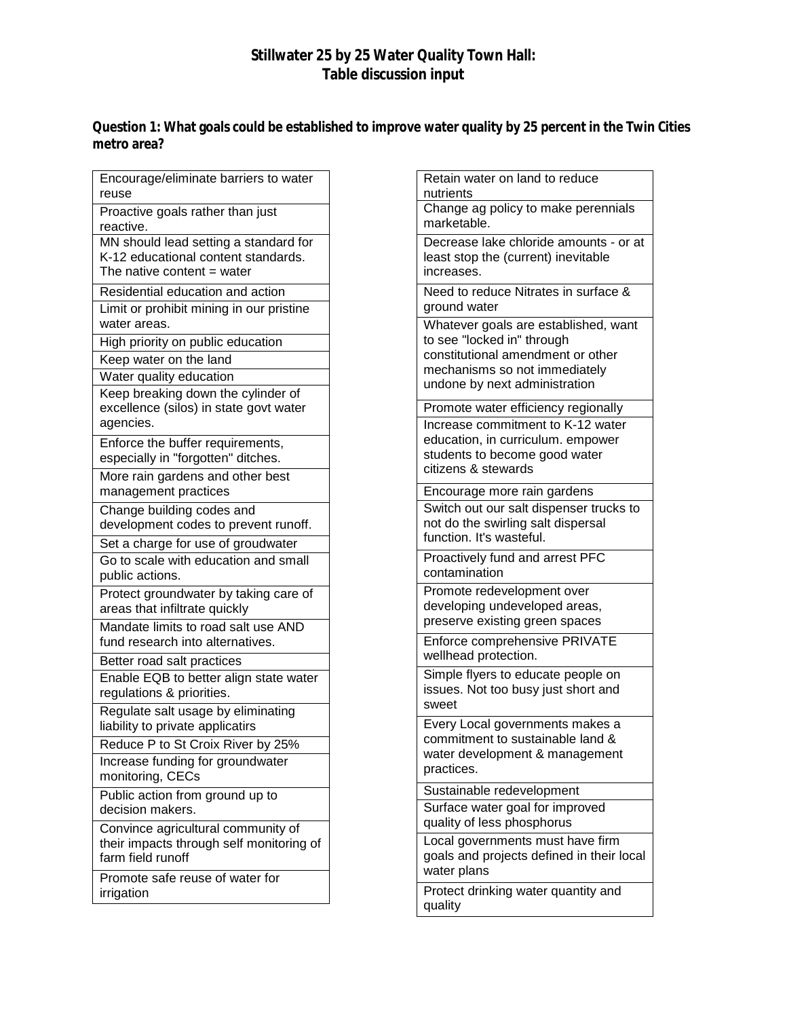## **Stillwater 25 by 25 Water Quality Town Hall: Table discussion input**

**Question 1: What goals could be established to improve water quality by 25 percent in the Twin Cities metro area?**

| Encourage/eliminate barriers to water<br>reuse                                                               |
|--------------------------------------------------------------------------------------------------------------|
| Proactive goals rather than just<br>reactive.                                                                |
| MN should lead setting a standard for<br>K-12 educational content standards.<br>The native content $=$ water |
| Residential education and action                                                                             |
| Limit or prohibit mining in our pristine<br>water areas.                                                     |
| High priority on public education                                                                            |
| Keep water on the land<br>Water quality education                                                            |
| Keep breaking down the cylinder of<br>excellence (silos) in state govt water<br>agencies.                    |
| Enforce the buffer requirements,<br>especially in "forgotten" ditches.                                       |
| More rain gardens and other best<br>management practices                                                     |
| Change building codes and<br>development codes to prevent runoff.                                            |
| Set a charge for use of groudwater                                                                           |
| Go to scale with education and small<br>public actions.                                                      |
| Protect groundwater by taking care of<br>areas that infiltrate quickly                                       |
| Mandate limits to road salt use AND<br>fund research into alternatives.                                      |
| Better road salt practices                                                                                   |
| Enable EQB to better align state water<br>regulations & priorities.                                          |
| Regulate salt usage by eliminating<br>liability to private applicatirs                                       |
| Reduce P to St Croix River by 25%                                                                            |
| Increase funding for groundwater<br>monitoring, CECs                                                         |
| Public action from ground up to<br>decision makers.                                                          |
| Convince agricultural community of<br>their impacts through self monitoring of<br>farm field runoff          |
| Promote safe reuse of water for<br>irrigation                                                                |

| Retain water on land to reduce<br>nutrients                                                                                                                               |
|---------------------------------------------------------------------------------------------------------------------------------------------------------------------------|
| Change ag policy to make perennials<br>marketable.                                                                                                                        |
| Decrease lake chloride amounts - or at<br>least stop the (current) inevitable<br>increases.                                                                               |
| Need to reduce Nitrates in surface &<br>ground water                                                                                                                      |
| Whatever goals are established, want<br>to see "locked in" through<br>constitutional amendment or other<br>mechanisms so not immediately<br>undone by next administration |
| Promote water efficiency regionally                                                                                                                                       |
| Increase commitment to K-12 water<br>education, in curriculum. empower<br>students to become good water<br>citizens & stewards                                            |
| Encourage more rain gardens<br>Switch out our salt dispenser trucks to<br>not do the swirling salt dispersal<br>function. It's wasteful.                                  |
| Proactively fund and arrest PFC<br>contamination                                                                                                                          |
| Promote redevelopment over<br>developing undeveloped areas,<br>preserve existing green spaces                                                                             |
| Enforce comprehensive PRIVATE<br>wellhead protection.                                                                                                                     |
| Simple flyers to educate people on<br>issues. Not too busy just short and<br>sweet                                                                                        |
| Every Local governments makes a<br>commitment to sustainable land &<br>water development & management<br>practices.                                                       |
| Sustainable redevelopment                                                                                                                                                 |
| Surface water goal for improved<br>quality of less phosphorus                                                                                                             |
| Local governments must have firm<br>goals and projects defined in their local<br>water plans                                                                              |
| Protect drinking water quantity and<br>quality                                                                                                                            |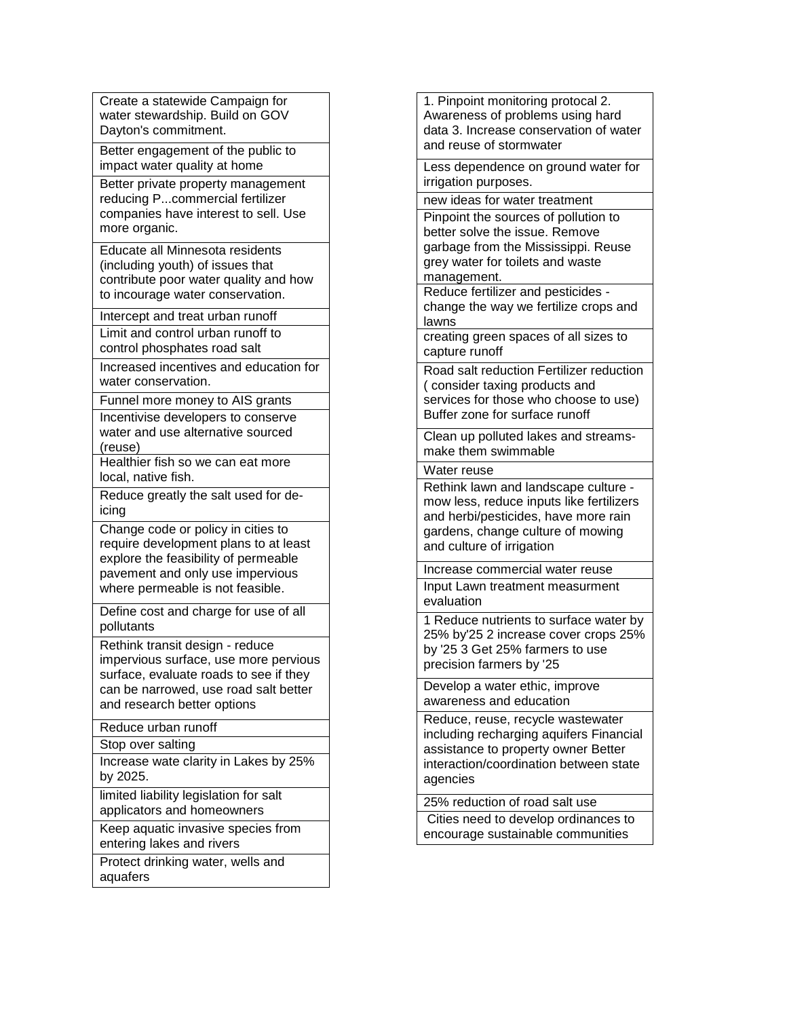Create a statewide Campaign for water stewardship. Build on GOV Dayton's commitment.

Better engagement of the public to impact water quality at home

Better private property management reducing P...commercial fertilizer companies have interest to sell. Use more organic.

Educate all Minnesota residents (including youth) of issues that contribute poor water quality and how to incourage water conservation.

Intercept and treat urban runoff

Limit and control urban runoff to control phosphates road salt

Increased incentives and education for water conservation

Funnel more money to AIS grants Incentivise developers to conserve water and use alternative sourced (reuse)

Healthier fish so we can eat more local, native fish.

Reduce greatly the salt used for deicing

Change code or policy in cities to require development plans to at least explore the feasibility of permeable pavement and only use impervious where permeable is not feasible.

Define cost and charge for use of all pollutants

Rethink transit design - reduce impervious surface, use more pervious surface, evaluate roads to see if they can be narrowed, use road salt better and research better options

Reduce urban runoff

Stop over salting

Increase wate clarity in Lakes by 25% by 2025.

limited liability legislation for salt applicators and homeowners

Keep aquatic invasive species from entering lakes and rivers

Protect drinking water, wells and aquafers

1. Pinpoint monitoring protocal 2. Awareness of problems using hard data 3. Increase conservation of water and reuse of stormwater

Less dependence on ground water for irrigation purposes.

new ideas for water treatment

Pinpoint the sources of pollution to better solve the issue. Remove garbage from the Mississippi. Reuse grey water for toilets and waste management.

Reduce fertilizer and pesticides change the way we fertilize crops and lawns

creating green spaces of all sizes to capture runoff

Road salt reduction Fertilizer reduction ( consider taxing products and services for those who choose to use) Buffer zone for surface runoff

Clean up polluted lakes and streamsmake them swimmable

Water reuse

Rethink lawn and landscape culture mow less, reduce inputs like fertilizers and herbi/pesticides, have more rain gardens, change culture of mowing and culture of irrigation

Increase commercial water reuse Input Lawn treatment measurment evaluation

1 Reduce nutrients to surface water by 25% by'25 2 increase cover crops 25% by '25 3 Get 25% farmers to use precision farmers by '25

Develop a water ethic, improve awareness and education

Reduce, reuse, recycle wastewater including recharging aquifers Financial assistance to property owner Better interaction/coordination between state agencies

25% reduction of road salt use

Cities need to develop ordinances to encourage sustainable communities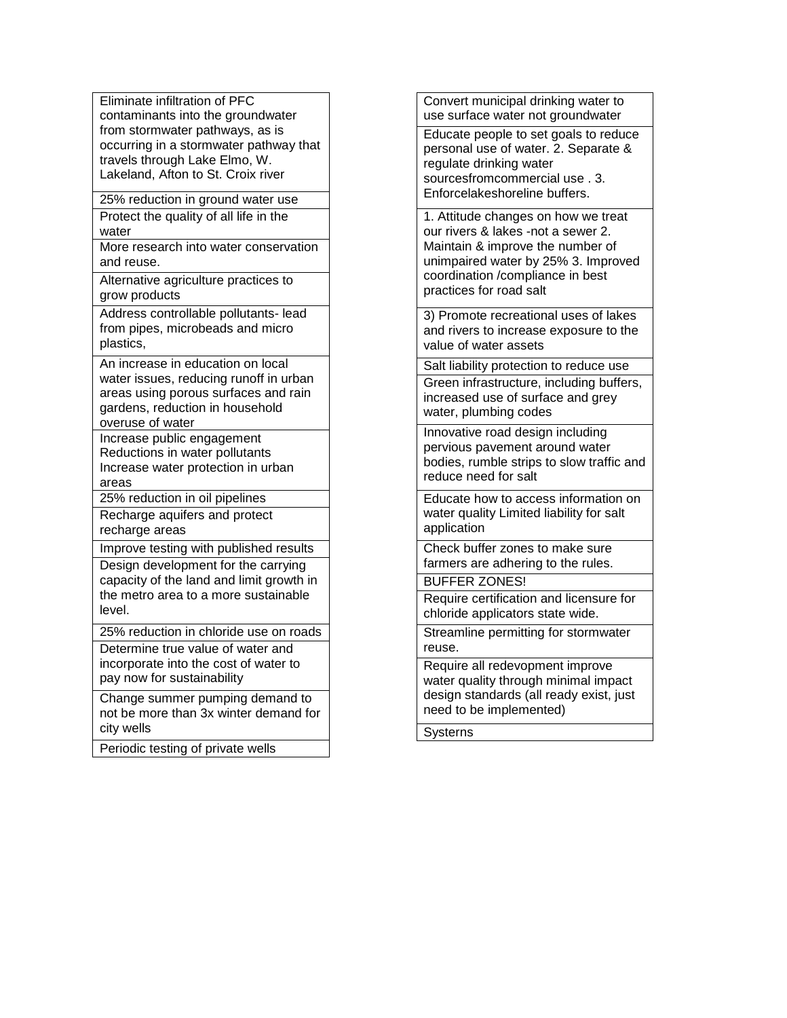Eliminate infiltration of PFC contaminants into the groundwater from stormwater pathways, as is occurring in a stormwater pathway that travels through Lake Elmo, W. Lakeland, Afton to St. Croix river

25% reduction in ground water use Protect the quality of all life in the water

More research into water conservation and reuse.

Alternative agriculture practices to grow products

Address controllable pollutants- lead from pipes, microbeads and micro plastics,

An increase in education on local water issues, reducing runoff in urban areas using porous surfaces and rain gardens, reduction in household overuse of water

Increase public engagement Reductions in water pollutants Increase water protection in urban areas

25% reduction in oil pipelines

Recharge aquifers and protect recharge areas

Improve testing with published results Design development for the carrying

capacity of the land and limit growth in the metro area to a more sustainable level.

25% reduction in chloride use on roads

Determine true value of water and incorporate into the cost of water to pay now for sustainability

Change summer pumping demand to not be more than 3x winter demand for city wells

Periodic testing of private wells

Convert municipal drinking water to use surface water not groundwater

Educate people to set goals to reduce personal use of water. 2. Separate & regulate drinking water sourcesfromcommercial use . 3. Enforcelakeshoreline buffers.

1. Attitude changes on how we treat our rivers & lakes -not a sewer 2. Maintain & improve the number of unimpaired water by 25% 3. Improved coordination /compliance in best practices for road salt

3) Promote recreational uses of lakes and rivers to increase exposure to the value of water assets

Salt liability protection to reduce use Green infrastructure, including buffers, increased use of surface and grey water, plumbing codes

Innovative road design including pervious pavement around water bodies, rumble strips to slow traffic and reduce need for salt

Educate how to access information on water quality Limited liability for salt application

Check buffer zones to make sure farmers are adhering to the rules.

BUFFER ZONES!

Require certification and licensure for chloride applicators state wide.

Streamline permitting for stormwater reuse.

Require all redevopment improve water quality through minimal impact design standards (all ready exist, just need to be implemented)

**Systerns**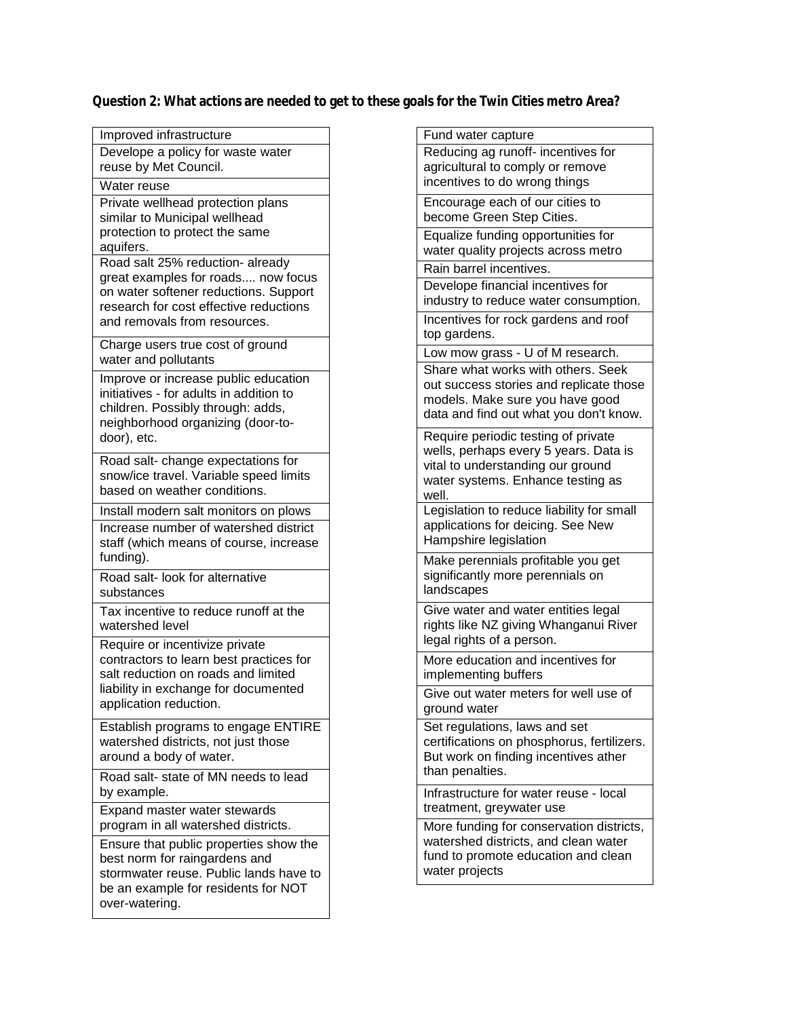**Question 2: What actions are needed to get to these goals for the Twin Cities metro Area?** 

| Improved infrastructure                                                      |
|------------------------------------------------------------------------------|
| Develope a policy for waste water                                            |
| reuse by Met Council.                                                        |
| Water reuse                                                                  |
| Private wellhead protection plans<br>similar to Municipal wellhead           |
| protection to protect the same                                               |
| aquifers.                                                                    |
| Road salt 25% reduction- already                                             |
| great examples for roads now focus<br>on water softener reductions. Support  |
| research for cost effective reductions                                       |
| and removals from resources.                                                 |
| Charge users true cost of ground                                             |
| water and pollutants                                                         |
| Improve or increase public education                                         |
| initiatives - for adults in addition to<br>children. Possibly through: adds, |
| neighborhood organizing (door-to-                                            |
| door), etc.                                                                  |
| Road salt- change expectations for                                           |
| snow/ice travel. Variable speed limits                                       |
| based on weather conditions.                                                 |
| Install modern salt monitors on plows                                        |
| Increase number of watershed district                                        |
| staff (which means of course, increase<br>funding).                          |
| Road salt- look for alternative                                              |
| substances                                                                   |
| Tax incentive to reduce runoff at the                                        |
| watershed level                                                              |
| Require or incentivize private                                               |
| contractors to learn best practices for                                      |
| salt reduction on roads and limited<br>liability in exchange for documented  |
| application reduction.                                                       |
| Establish programs to engage ENTIRE                                          |
| watershed districts, not just those                                          |
| around a body of water.                                                      |
| Road salt-state of MN needs to lead                                          |
| by example.                                                                  |
| Expand master water stewards                                                 |
| program in all watershed districts.                                          |
|                                                                              |
| Ensure that public properties show the                                       |
| best norm for raingardens and<br>stormwater reuse. Public lands have to      |
| be an example for residents for NOT<br>over-watering.                        |

| Fund water capture                                                        |
|---------------------------------------------------------------------------|
| Reducing ag runoff- incentives for                                        |
| agricultural to comply or remove                                          |
| incentives to do wrong things                                             |
| Encourage each of our cities to                                           |
| become Green Step Cities.                                                 |
| Equalize funding opportunities for                                        |
| water quality projects across metro                                       |
| Rain barrel incentives.                                                   |
| Develope financial incentives for                                         |
| industry to reduce water consumption.                                     |
| Incentives for rock gardens and roof                                      |
| top gardens.                                                              |
| Low mow grass - U of M research.                                          |
| Share what works with others. Seek                                        |
| out success stories and replicate those                                   |
| models. Make sure you have good<br>data and find out what you don't know. |
|                                                                           |
| Require periodic testing of private                                       |
| wells, perhaps every 5 years. Data is                                     |
| vital to understanding our ground<br>water systems. Enhance testing as    |
| well.                                                                     |
| Legislation to reduce liability for small                                 |
| applications for deicing. See New                                         |
| Hampshire legislation                                                     |
| Make perennials profitable you get                                        |
| significantly more perennials on                                          |
| landscapes                                                                |
| Give water and water entities legal                                       |
| rights like NZ giving Whanganui River                                     |
| legal rights of a person.                                                 |
| More education and incentives for                                         |
| implementing buffers                                                      |
| Give out water meters for well use of                                     |
| ground water                                                              |
| Set regulations, laws and set                                             |
| certifications on phosphorus, fertilizers.                                |
| But work on finding incentives ather                                      |
| than penalties.                                                           |
| Infrastructure for water reuse - local                                    |
| treatment, greywater use                                                  |
| More funding for conservation districts,                                  |
| watershed districts, and clean water                                      |
| fund to promote education and clean                                       |
| water projects                                                            |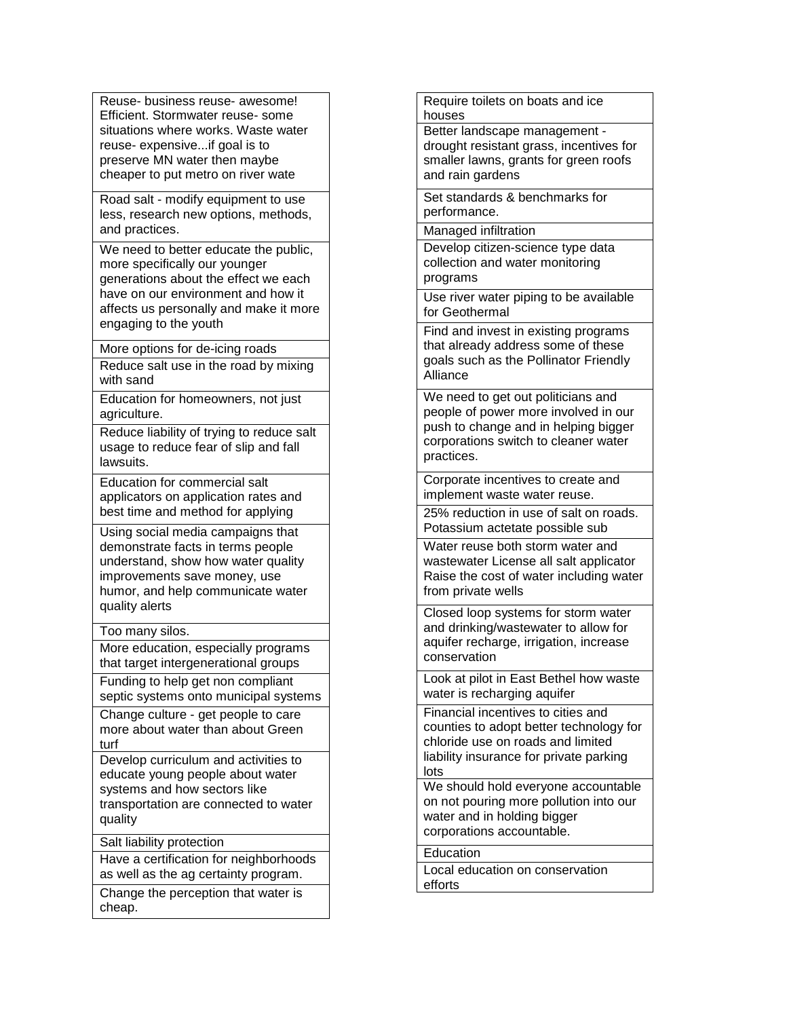Reuse- business reuse- awesome! Efficient. Stormwater reuse- some situations where works. Waste water reuse- expensive...if goal is to preserve MN water then maybe cheaper to put metro on river wate

Road salt - modify equipment to use less, research new options, methods, and practices.

We need to better educate the public, more specifically our younger generations about the effect we each have on our environment and how it affects us personally and make it more engaging to the youth

More options for de-icing roads Reduce salt use in the road by mixing with sand

Education for homeowners, not just agriculture.

Reduce liability of trying to reduce salt usage to reduce fear of slip and fall lawsuits.

Education for commercial salt applicators on application rates and best time and method for applying

Using social media campaigns that demonstrate facts in terms people understand, show how water quality improvements save money, use humor, and help communicate water quality alerts

## Too many silos.

More education, especially programs that target intergenerational groups

Funding to help get non compliant septic systems onto municipal systems

Change culture - get people to care more about water than about Green turf

Develop curriculum and activities to educate young people about water systems and how sectors like transportation are connected to water quality

Salt liability protection

Have a certification for neighborhoods as well as the ag certainty program.

Change the perception that water is cheap.

Require toilets on boats and ice houses

Better landscape management drought resistant grass, incentives for smaller lawns, grants for green roofs and rain gardens

Set standards & benchmarks for performance.

Managed infiltration

Develop citizen-science type data collection and water monitoring programs

Use river water piping to be available for Geothermal

Find and invest in existing programs that already address some of these goals such as the Pollinator Friendly Alliance

We need to get out politicians and people of power more involved in our push to change and in helping bigger corporations switch to cleaner water practices.

Corporate incentives to create and implement waste water reuse.

25% reduction in use of salt on roads. Potassium actetate possible sub

Water reuse both storm water and wastewater License all salt applicator Raise the cost of water including water from private wells

Closed loop systems for storm water and drinking/wastewater to allow for aquifer recharge, irrigation, increase conservation

Look at pilot in East Bethel how waste water is recharging aquifer

Financial incentives to cities and counties to adopt better technology for chloride use on roads and limited liability insurance for private parking lots

We should hold everyone accountable on not pouring more pollution into our water and in holding bigger corporations accountable.

Education

Local education on conservation efforts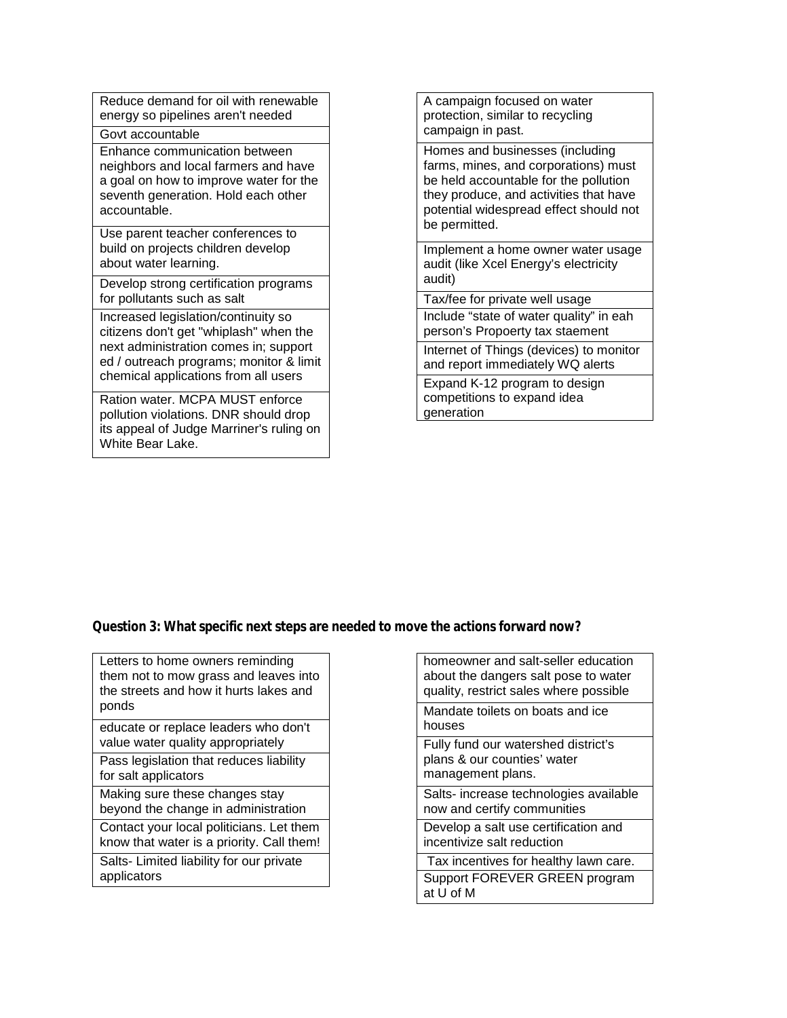Reduce demand for oil with renewable energy so pipelines aren't needed

Govt accountable

Enhance communication between neighbors and local farmers and have a goal on how to improve water for the seventh generation. Hold each other accountable.

Use parent teacher conferences to build on projects children develop about water learning.

Develop strong certification programs for pollutants such as salt

Increased legislation/continuity so citizens don't get "whiplash" when the next administration comes in; support ed / outreach programs; monitor & limit chemical applications from all users

Ration water. MCPA MUST enforce pollution violations. DNR should drop its appeal of Judge Marriner's ruling on White Bear Lake.

A campaign focused on water protection, similar to recycling campaign in past.

Homes and businesses (including farms, mines, and corporations) must be held accountable for the pollution they produce, and activities that have potential widespread effect should not be permitted.

Implement a home owner water usage audit (like Xcel Energy's electricity audit)

Tax/fee for private well usage

Include "state of water quality" in eah person's Propoerty tax staement

Internet of Things (devices) to monitor and report immediately WQ alerts

Expand K-12 program to design competitions to expand idea generation

## **Question 3: What specific next steps are needed to move the actions forward now?**

educate or replace leaders who don't value water quality appropriately

Pass legislation that reduces liability for salt applicators

Making sure these changes stay beyond the change in administration

Contact your local politicians. Let them know that water is a priority. Call them!

Salts- Limited liability for our private applicators

homeowner and salt-seller education about the dangers salt pose to water quality, restrict sales where possible Mandate toilets on boats and ice houses Fully fund our watershed district's plans & our counties' water management plans. Salts- increase technologies available now and certify communities Develop a salt use certification and incentivize salt reduction

Tax incentives for healthy lawn care. Support FOREVER GREEN program at U of M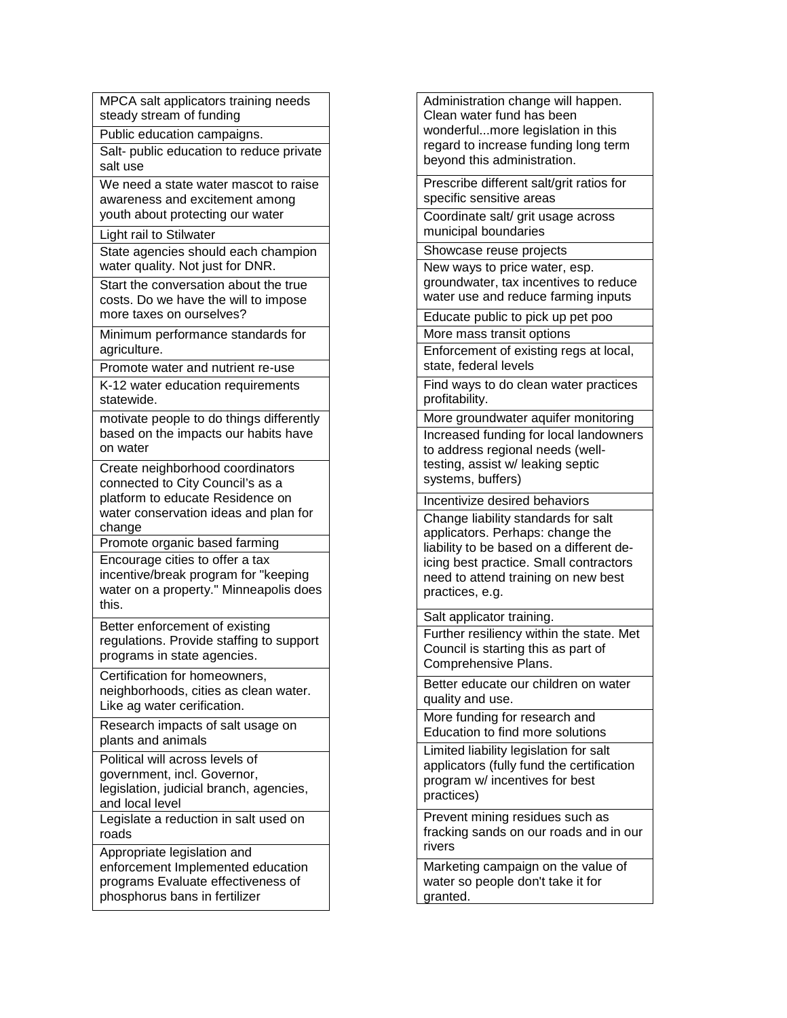MPCA salt applicators training needs steady stream of funding Public education campaigns.

Salt- public education to reduce private salt use

We need a state water mascot to raise awareness and excitement among youth about protecting our water

Light rail to Stilwater

State agencies should each champion water quality. Not just for DNR.

Start the conversation about the true costs. Do we have the will to impose more taxes on ourselves?

Minimum performance standards for agriculture.

Promote water and nutrient re-use

K-12 water education requirements statewide.

motivate people to do things differently based on the impacts our habits have on water

Create neighborhood coordinators connected to City Council's as a platform to educate Residence on water conservation ideas and plan for change

Promote organic based farming Encourage cities to offer a tax

incentive/break program for "keeping water on a property." Minneapolis does this.

Better enforcement of existing regulations. Provide staffing to support programs in state agencies.

Certification for homeowners, neighborhoods, cities as clean water. Like ag water cerification.

Research impacts of salt usage on plants and animals

Political will across levels of government, incl. Governor, legislation, judicial branch, agencies, and local level

Legislate a reduction in salt used on roads

Appropriate legislation and enforcement Implemented education programs Evaluate effectiveness of phosphorus bans in fertilizer

Administration change will happen. Clean water fund has been wonderful...more legislation in this regard to increase funding long term beyond this administration.

Prescribe different salt/grit ratios for specific sensitive areas

Coordinate salt/ grit usage across municipal boundaries

Showcase reuse projects

New ways to price water, esp. groundwater, tax incentives to reduce water use and reduce farming inputs

Educate public to pick up pet poo

More mass transit options

Enforcement of existing regs at local, state, federal levels

Find ways to do clean water practices profitability.

More groundwater aquifer monitoring

Increased funding for local landowners to address regional needs (welltesting, assist w/ leaking septic systems, buffers)

Incentivize desired behaviors

Change liability standards for salt applicators. Perhaps: change the liability to be based on a different deicing best practice. Small contractors need to attend training on new best practices, e.g.

Salt applicator training.

Further resiliency within the state. Met Council is starting this as part of Comprehensive Plans.

Better educate our children on water quality and use.

More funding for research and Education to find more solutions

Limited liability legislation for salt applicators (fully fund the certification program w/ incentives for best practices)

Prevent mining residues such as fracking sands on our roads and in our rivers

Marketing campaign on the value of water so people don't take it for granted.